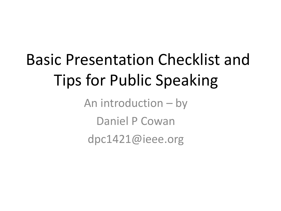# Basic Presentation Checklist and Tips for Public Speaking

An introduction – by Daniel P Cowan dpc1421@ieee.org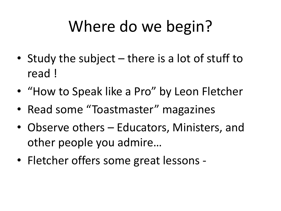## Where do we begin?

- Study the subject there is a lot of stuff to read !
- "How to Speak like a Pro" by Leon Fletcher
- Read some "Toastmaster" magazines
- Observe others Educators, Ministers, and other people you admire…
- Fletcher offers some great lessons -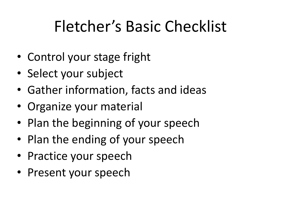## Fletcher's Basic Checklist

- Control your stage fright
- Select your subject
- Gather information, facts and ideas
- Organize your material
- Plan the beginning of your speech
- Plan the ending of your speech
- Practice your speech
- Present your speech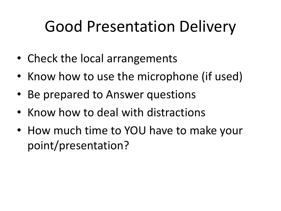## Good Presentation Delivery

- Check the local arrangements
- Know how to use the microphone (if used)
- Be prepared to Answer questions
- Know how to deal with distractions
- How much time to YOU have to make your point/presentation?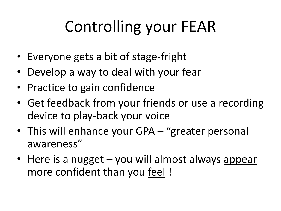# Controlling your FEAR

- Everyone gets a bit of stage-fright
- Develop a way to deal with your fear
- Practice to gain confidence
- Get feedback from your friends or use a recording device to play-back your voice
- This will enhance your GPA "greater personal awareness"
- Here is a nugget you will almost always appear more confident than you feel !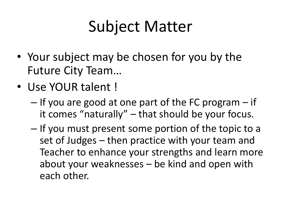## Subject Matter

- Your subject may be chosen for you by the Future City Team…
- Use YOUR talent !
	- If you are good at one part of the FC program if it comes "naturally" – that should be your focus.
	- If you must present some portion of the topic to a set of Judges – then practice with your team and Teacher to enhance your strengths and learn more about your weaknesses – be kind and open with each other.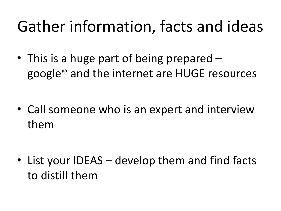#### Gather information, facts and ideas

• This is a huge part of being prepared – google® and the internet are HUGE resources

• Call someone who is an expert and interview them

• List your IDEAS – develop them and find facts to distill them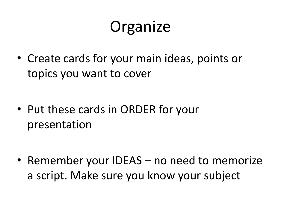## **Organize**

• Create cards for your main ideas, points or topics you want to cover

• Put these cards in ORDER for your presentation

• Remember your IDEAS – no need to memorize a script. Make sure you know your subject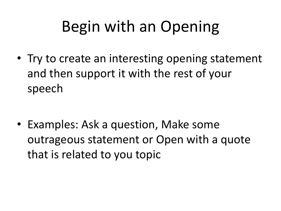## Begin with an Opening

• Try to create an interesting opening statement and then support it with the rest of your speech

• Examples: Ask a question, Make some outrageous statement or Open with a quote that is related to you topic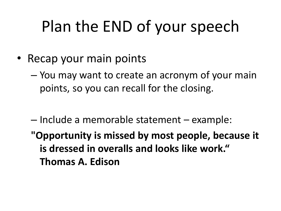## Plan the END of your speech

- Recap your main points
	- You may want to create an acronym of your main points, so you can recall for the closing.
	- Include a memorable statement example:
	- **"Opportunity is missed by most people, because it is dressed in overalls and looks like work." Thomas A. Edison**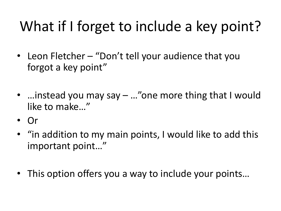#### What if I forget to include a key point?

- Leon Fletcher "Don't tell your audience that you forgot a key point"
- …instead you may say ..."one more thing that I would like to make…"
- Or
- "in addition to my main points, I would like to add this important point…"
- This option offers you a way to include your points…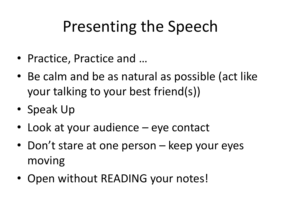## Presenting the Speech

- Practice, Practice and …
- Be calm and be as natural as possible (act like your talking to your best friend(s))
- Speak Up
- Look at your audience eye contact
- Don't stare at one person keep your eyes moving
- Open without READING your notes!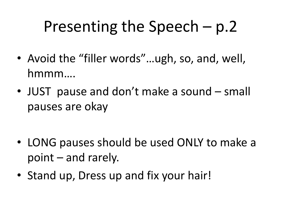## Presenting the Speech – p.2

- Avoid the "filler words"...ugh, so, and, well, hmmm….
- JUST pause and don't make a sound small pauses are okay

- LONG pauses should be used ONLY to make a point – and rarely.
- Stand up, Dress up and fix your hair!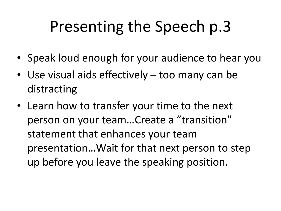## Presenting the Speech p.3

- Speak loud enough for your audience to hear you
- Use visual aids effectively too many can be distracting
- Learn how to transfer your time to the next person on your team…Create a "transition" statement that enhances your team presentation…Wait for that next person to step up before you leave the speaking position.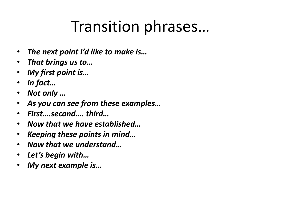#### Transition phrases…

- *The next point I'd like to make is…*
- *That brings us to…*
- *My first point is…*
- *In fact…*
- *Not only …*
- *As you can see from these examples…*
- *First….second…. third…*
- *Now that we have established…*
- *Keeping these points in mind…*
- *Now that we understand…*
- *Let's begin with…*
- *My next example is…*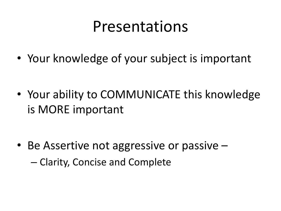#### Presentations

• Your knowledge of your subject is important

• Your ability to COMMUNICATE this knowledge is MORE important

• Be Assertive not aggressive or passive – – Clarity, Concise and Complete